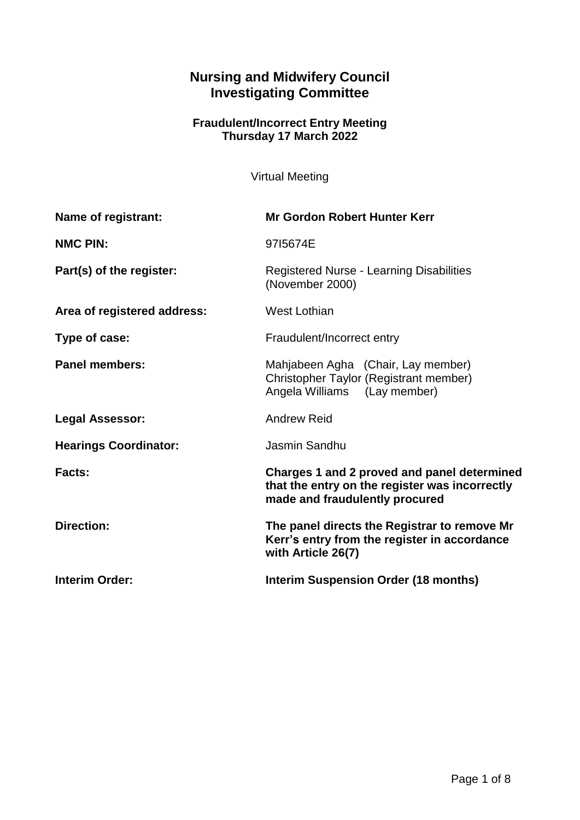# **Nursing and Midwifery Council Investigating Committee**

#### **Fraudulent/Incorrect Entry Meeting Thursday 17 March 2022**

Virtual Meeting

| Name of registrant:          | <b>Mr Gordon Robert Hunter Kerr</b>                                                                                             |
|------------------------------|---------------------------------------------------------------------------------------------------------------------------------|
| <b>NMC PIN:</b>              | 9715674E                                                                                                                        |
| Part(s) of the register:     | <b>Registered Nurse - Learning Disabilities</b><br>(November 2000)                                                              |
| Area of registered address:  | West Lothian                                                                                                                    |
| Type of case:                | Fraudulent/Incorrect entry                                                                                                      |
| <b>Panel members:</b>        | Mahjabeen Agha (Chair, Lay member)<br>Christopher Taylor (Registrant member)<br>Angela Williams (Lay member)                    |
| <b>Legal Assessor:</b>       | <b>Andrew Reid</b>                                                                                                              |
| <b>Hearings Coordinator:</b> | Jasmin Sandhu                                                                                                                   |
| Facts:                       | Charges 1 and 2 proved and panel determined<br>that the entry on the register was incorrectly<br>made and fraudulently procured |
| <b>Direction:</b>            | The panel directs the Registrar to remove Mr<br>Kerr's entry from the register in accordance<br>with Article 26(7)              |
| <b>Interim Order:</b>        | <b>Interim Suspension Order (18 months)</b>                                                                                     |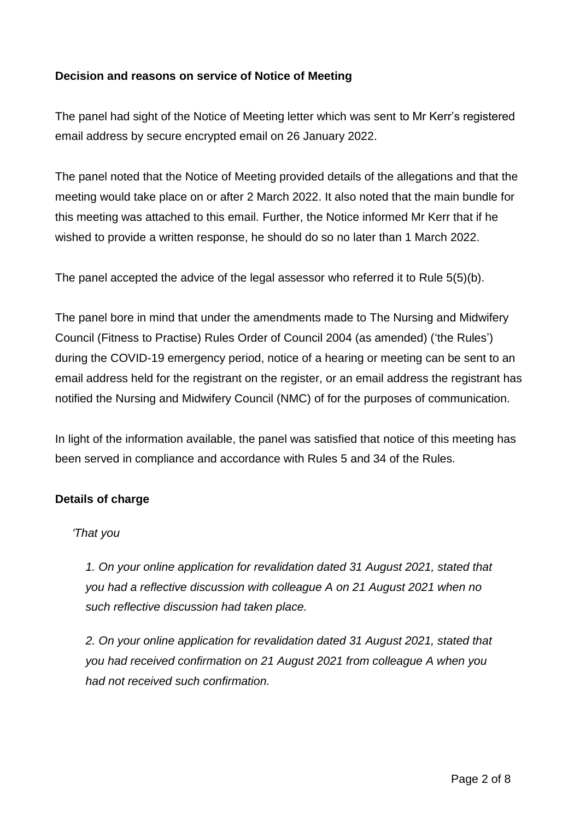## **Decision and reasons on service of Notice of Meeting**

The panel had sight of the Notice of Meeting letter which was sent to Mr Kerr's registered email address by secure encrypted email on 26 January 2022.

The panel noted that the Notice of Meeting provided details of the allegations and that the meeting would take place on or after 2 March 2022. It also noted that the main bundle for this meeting was attached to this email. Further, the Notice informed Mr Kerr that if he wished to provide a written response, he should do so no later than 1 March 2022.

The panel accepted the advice of the legal assessor who referred it to Rule 5(5)(b).

The panel bore in mind that under the amendments made to The Nursing and Midwifery Council (Fitness to Practise) Rules Order of Council 2004 (as amended) ('the Rules') during the COVID-19 emergency period, notice of a hearing or meeting can be sent to an email address held for the registrant on the register, or an email address the registrant has notified the Nursing and Midwifery Council (NMC) of for the purposes of communication.

In light of the information available, the panel was satisfied that notice of this meeting has been served in compliance and accordance with Rules 5 and 34 of the Rules.

#### **Details of charge**

#### *'That you*

*1. On your online application for revalidation dated 31 August 2021, stated that you had a reflective discussion with colleague A on 21 August 2021 when no such reflective discussion had taken place.*

*2. On your online application for revalidation dated 31 August 2021, stated that you had received confirmation on 21 August 2021 from colleague A when you had not received such confirmation.*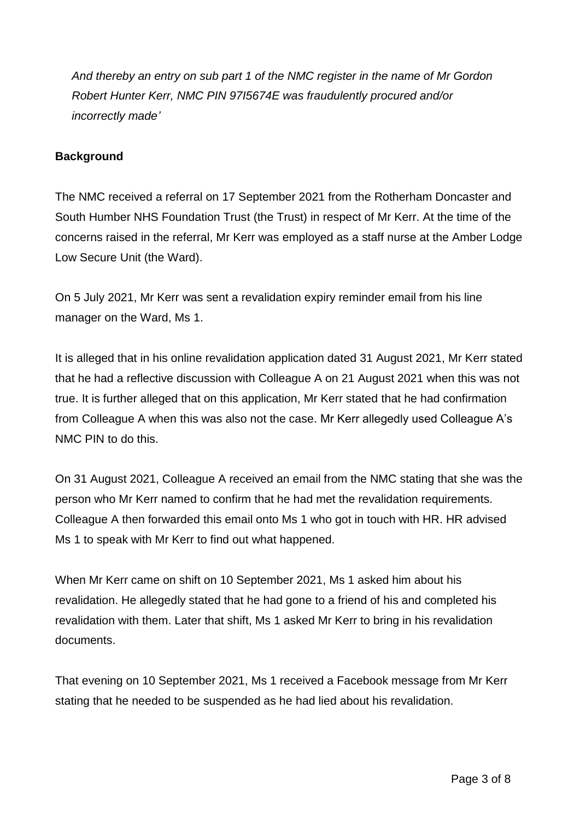*And thereby an entry on sub part 1 of the NMC register in the name of Mr Gordon Robert Hunter Kerr, NMC PIN 97I5674E was fraudulently procured and/or incorrectly made'*

## **Background**

The NMC received a referral on 17 September 2021 from the Rotherham Doncaster and South Humber NHS Foundation Trust (the Trust) in respect of Mr Kerr. At the time of the concerns raised in the referral, Mr Kerr was employed as a staff nurse at the Amber Lodge Low Secure Unit (the Ward).

On 5 July 2021, Mr Kerr was sent a revalidation expiry reminder email from his line manager on the Ward, Ms 1.

It is alleged that in his online revalidation application dated 31 August 2021, Mr Kerr stated that he had a reflective discussion with Colleague A on 21 August 2021 when this was not true. It is further alleged that on this application, Mr Kerr stated that he had confirmation from Colleague A when this was also not the case. Mr Kerr allegedly used Colleague A's NMC PIN to do this.

On 31 August 2021, Colleague A received an email from the NMC stating that she was the person who Mr Kerr named to confirm that he had met the revalidation requirements. Colleague A then forwarded this email onto Ms 1 who got in touch with HR. HR advised Ms 1 to speak with Mr Kerr to find out what happened.

When Mr Kerr came on shift on 10 September 2021, Ms 1 asked him about his revalidation. He allegedly stated that he had gone to a friend of his and completed his revalidation with them. Later that shift, Ms 1 asked Mr Kerr to bring in his revalidation documents.

That evening on 10 September 2021, Ms 1 received a Facebook message from Mr Kerr stating that he needed to be suspended as he had lied about his revalidation.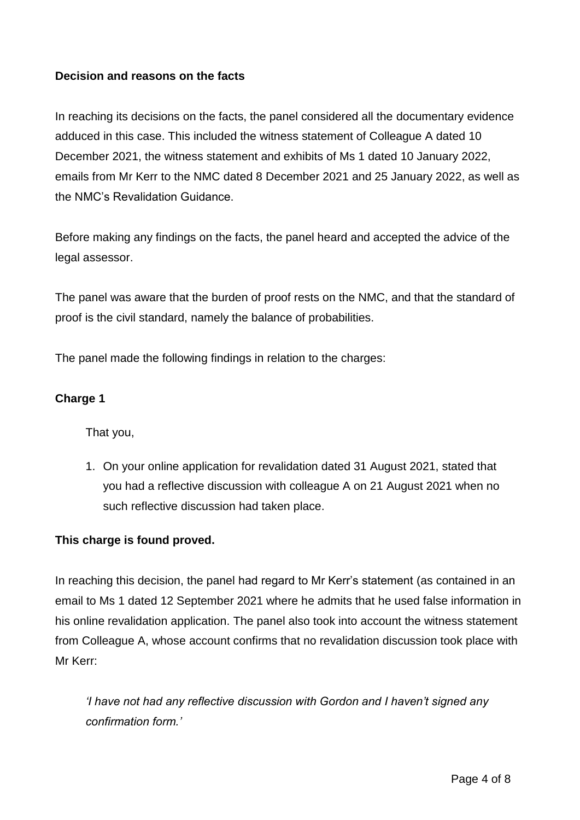## **Decision and reasons on the facts**

In reaching its decisions on the facts, the panel considered all the documentary evidence adduced in this case. This included the witness statement of Colleague A dated 10 December 2021, the witness statement and exhibits of Ms 1 dated 10 January 2022, emails from Mr Kerr to the NMC dated 8 December 2021 and 25 January 2022, as well as the NMC's Revalidation Guidance.

Before making any findings on the facts, the panel heard and accepted the advice of the legal assessor.

The panel was aware that the burden of proof rests on the NMC, and that the standard of proof is the civil standard, namely the balance of probabilities.

The panel made the following findings in relation to the charges:

#### **Charge 1**

That you,

1. On your online application for revalidation dated 31 August 2021, stated that you had a reflective discussion with colleague A on 21 August 2021 when no such reflective discussion had taken place.

#### **This charge is found proved.**

In reaching this decision, the panel had regard to Mr Kerr's statement (as contained in an email to Ms 1 dated 12 September 2021 where he admits that he used false information in his online revalidation application. The panel also took into account the witness statement from Colleague A, whose account confirms that no revalidation discussion took place with Mr Kerr:

*'I have not had any reflective discussion with Gordon and I haven't signed any confirmation form.'*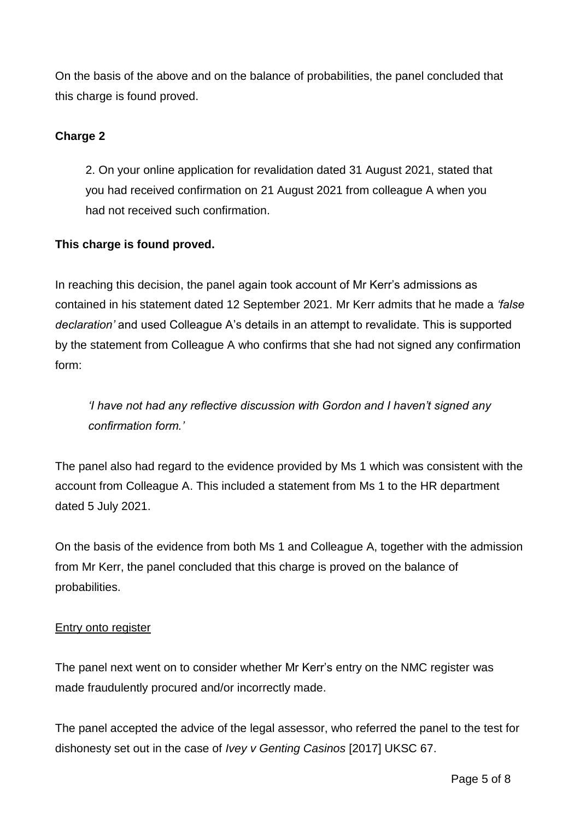On the basis of the above and on the balance of probabilities, the panel concluded that this charge is found proved.

## **Charge 2**

2. On your online application for revalidation dated 31 August 2021, stated that you had received confirmation on 21 August 2021 from colleague A when you had not received such confirmation.

## **This charge is found proved.**

In reaching this decision, the panel again took account of Mr Kerr's admissions as contained in his statement dated 12 September 2021. Mr Kerr admits that he made a *'false declaration'* and used Colleague A's details in an attempt to revalidate. This is supported by the statement from Colleague A who confirms that she had not signed any confirmation form:

*'I have not had any reflective discussion with Gordon and I haven't signed any confirmation form.'*

The panel also had regard to the evidence provided by Ms 1 which was consistent with the account from Colleague A. This included a statement from Ms 1 to the HR department dated 5 July 2021.

On the basis of the evidence from both Ms 1 and Colleague A, together with the admission from Mr Kerr, the panel concluded that this charge is proved on the balance of probabilities.

## **Entry onto register**

The panel next went on to consider whether Mr Kerr's entry on the NMC register was made fraudulently procured and/or incorrectly made.

The panel accepted the advice of the legal assessor, who referred the panel to the test for dishonesty set out in the case of *Ivey v Genting Casinos* [2017] UKSC 67.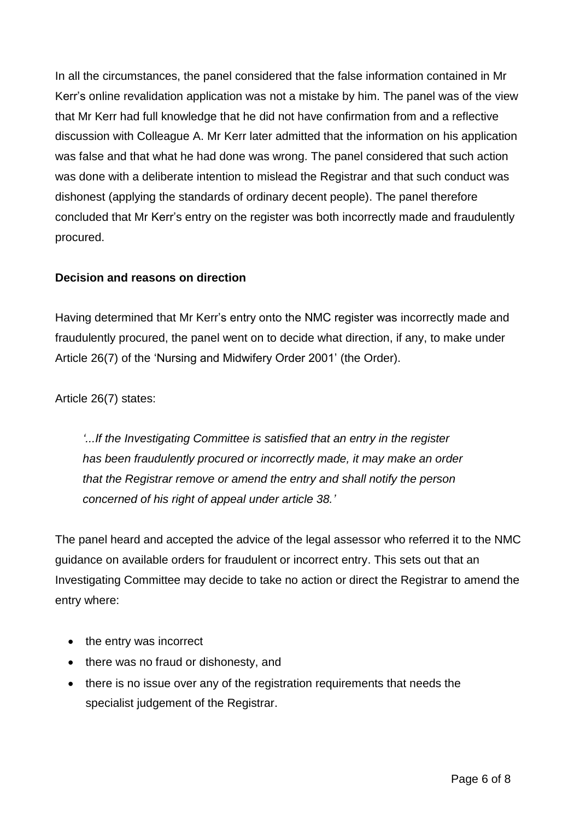In all the circumstances, the panel considered that the false information contained in Mr Kerr's online revalidation application was not a mistake by him. The panel was of the view that Mr Kerr had full knowledge that he did not have confirmation from and a reflective discussion with Colleague A. Mr Kerr later admitted that the information on his application was false and that what he had done was wrong. The panel considered that such action was done with a deliberate intention to mislead the Registrar and that such conduct was dishonest (applying the standards of ordinary decent people). The panel therefore concluded that Mr Kerr's entry on the register was both incorrectly made and fraudulently procured.

## **Decision and reasons on direction**

Having determined that Mr Kerr's entry onto the NMC register was incorrectly made and fraudulently procured, the panel went on to decide what direction, if any, to make under Article 26(7) of the 'Nursing and Midwifery Order 2001' (the Order).

Article 26(7) states:

*'...If the Investigating Committee is satisfied that an entry in the register has been fraudulently procured or incorrectly made, it may make an order that the Registrar remove or amend the entry and shall notify the person concerned of his right of appeal under article 38.'*

The panel heard and accepted the advice of the legal assessor who referred it to the NMC guidance on available orders for fraudulent or incorrect entry. This sets out that an Investigating Committee may decide to take no action or direct the Registrar to amend the entry where:

- the entry was incorrect
- there was no fraud or dishonesty, and
- there is no issue over any of the registration requirements that needs the specialist judgement of the Registrar.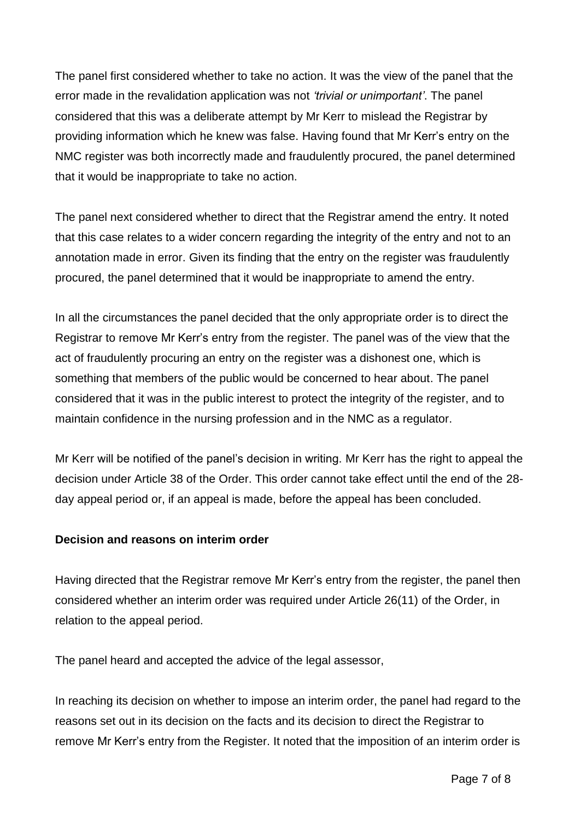The panel first considered whether to take no action. It was the view of the panel that the error made in the revalidation application was not *'trivial or unimportant'*. The panel considered that this was a deliberate attempt by Mr Kerr to mislead the Registrar by providing information which he knew was false. Having found that Mr Kerr's entry on the NMC register was both incorrectly made and fraudulently procured, the panel determined that it would be inappropriate to take no action.

The panel next considered whether to direct that the Registrar amend the entry. It noted that this case relates to a wider concern regarding the integrity of the entry and not to an annotation made in error. Given its finding that the entry on the register was fraudulently procured, the panel determined that it would be inappropriate to amend the entry.

In all the circumstances the panel decided that the only appropriate order is to direct the Registrar to remove Mr Kerr's entry from the register. The panel was of the view that the act of fraudulently procuring an entry on the register was a dishonest one, which is something that members of the public would be concerned to hear about. The panel considered that it was in the public interest to protect the integrity of the register, and to maintain confidence in the nursing profession and in the NMC as a regulator.

Mr Kerr will be notified of the panel's decision in writing. Mr Kerr has the right to appeal the decision under Article 38 of the Order. This order cannot take effect until the end of the 28 day appeal period or, if an appeal is made, before the appeal has been concluded.

## **Decision and reasons on interim order**

Having directed that the Registrar remove Mr Kerr's entry from the register, the panel then considered whether an interim order was required under Article 26(11) of the Order, in relation to the appeal period.

The panel heard and accepted the advice of the legal assessor,

In reaching its decision on whether to impose an interim order, the panel had regard to the reasons set out in its decision on the facts and its decision to direct the Registrar to remove Mr Kerr's entry from the Register. It noted that the imposition of an interim order is